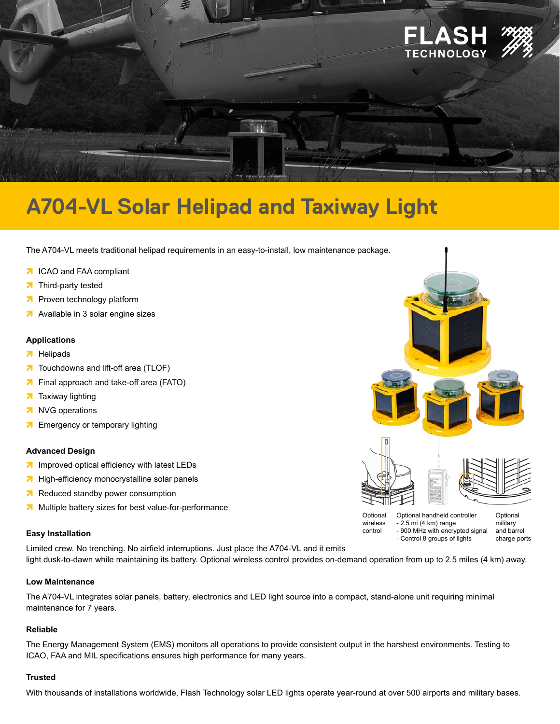

# **A704-VL Solar Helipad and Taxiway Light**

The A704-VL meets traditional helipad requirements in an easy-to-install, low maintenance package.

- **7** ICAO and FAA compliant
- **7** Third-party tested
- **<sup>7</sup>** Proven technology platform
- **<sup>7</sup>** Available in 3 solar engine sizes

#### **Applications**

- **7** Helipads
- **7** Touchdowns and lift-off area (TLOF)
- **7** Final approach and take-off area (FATO)
- **7** Taxiway lighting
- **a** NVG operations
- **7** Emergency or temporary lighting

#### **Advanced Design**

- **<sup>7</sup>** Improved optical efficiency with latest LEDs
- **<sup>7</sup>** High-efficiency monocrystalline solar panels
- **in** Reduced standby power consumption
- **<sup>7</sup>** Multiple battery sizes for best value-for-performance

#### **Easy Installation**

Limited crew. No trenching. No airfield interruptions. Just place the A704-VL and it emits light dusk-to-dawn while maintaining its battery. Optional wireless control provides on-demand operation from up to 2.5 miles (4 km) away. - Control 8 groups of lights

#### **Low Maintenance**

The A704-VL integrates solar panels, battery, electronics and LED light source into a compact, stand-alone unit requiring minimal maintenance for 7 years.

#### **Reliable**

The Energy Management System (EMS) monitors all operations to provide consistent output in the harshest environments. Testing to ICAO, FAA and MIL specifications ensures high performance for many years.

#### **Trusted**

With thousands of installations worldwide, Flash Technology solar LED lights operate year-round at over 500 airports and military bases.



- 900 MHz with encrypted signal

and barrel charge ports

control